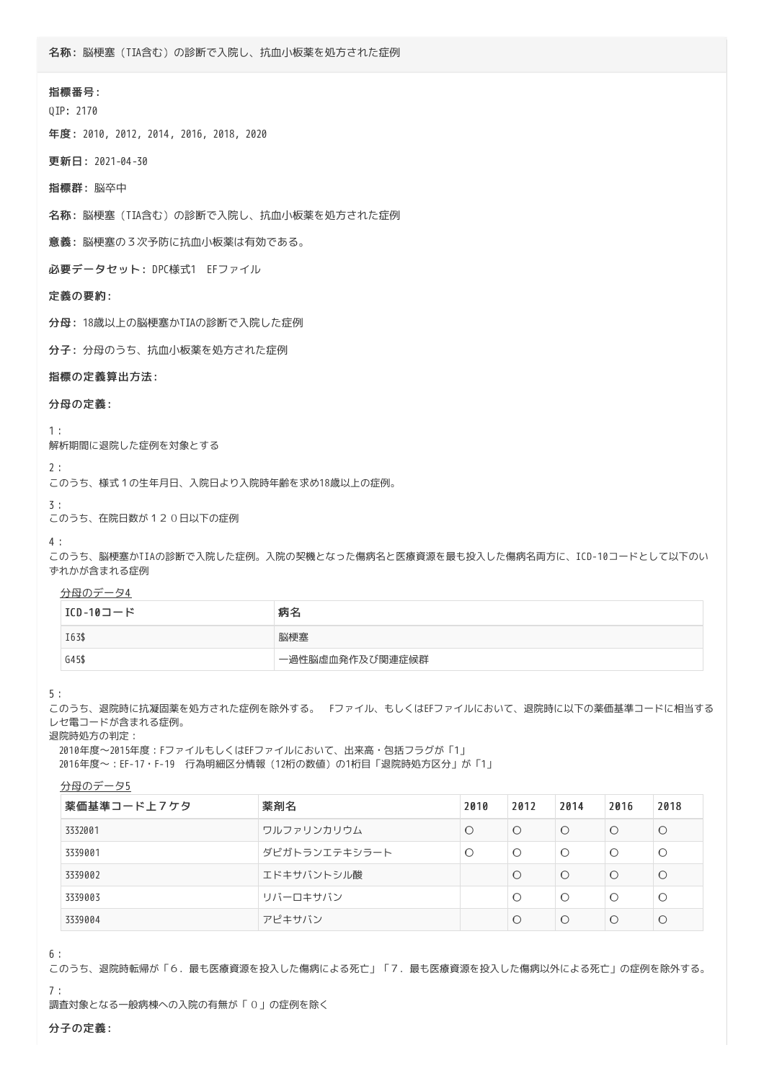# 指標番号:

QIP: 2170

年度: 2010, 2012, 2014, 2016, 2018, 2020

更新日: 2021-04-30

指標群: 脳卒中

名称: 脳梗塞(TIA含む)の診断で入院し、抗血小板薬を処方された症例

意義: 脳梗塞の3次予防に抗血小板薬は有効である。

必要データセット: DPC様式1 EFファイル

### 定義の要約:

分母: 18歳以上の脳梗塞かTIAの診断で入院した症例

分子: 分母のうち、抗血小板薬を処方された症例

## 指標の定義算出方法:

# 分母の定義:

1:

解析期間に退院した症例を対象とする

2:

このうち、様式1の生年月日、入院日より入院時年齢を求め18歳以上の症例。

#### 3:

このうち、在院日数が120日以下の症例

#### 4:

このうち、脳梗塞かTIAの診断で入院した症例。入院の契機となった傷病名と医療資源を最も投入した傷病名両方に、ICD-10コードとして以下のい ずれかが含まれる症例

分母のデータ4

| ICD-10コード | 病名              |
|-----------|-----------------|
| I63\$     | 脳梗塞             |
| G45\$     | 一過性脳虚血発作及び関連症候群 |

### 5:

このうち、退院時に抗凝固薬を処方された症例を除外する。 Fファイル、もしくはEFファイルにおいて、退院時に以下の薬価基準コードに相当する レセ電コードが含まれる症例。

退院時処方の判定:

 2010年度~2015年度:FファイルもしくはEFファイルにおいて、出来高・包括フラグが「1」 2016年度~:EF-17・F-19 行為明細区分情報(12桁の数値)の1桁目「退院時処方区分」が「1」

#### 分母のデータ5

| 薬価基準コード上7ケタ | 薬剤名           | 2010 | 2012 | 2014 | 2016    | 2018    |
|-------------|---------------|------|------|------|---------|---------|
| 3332001     | ワルファリンカリウム    | O    | C    | C    | O       | $\circ$ |
| 3339001     | ダビガトランエテキシラート | ∩    | C    | C    | O       | $\circ$ |
| 3339002     | エドキサバントシル酸    |      | C    | C    | O       | $\circ$ |
| 3339003     | リバーロキサバン      |      | C    | C    | $\circ$ | $\circ$ |
| 3339004     | アピキサバン        |      | C    | C    | O       | $\circ$ |

6:

このうち、退院時転帰が「6.最も医療資源を投入した傷病による死亡」「7.最も医療資源を投入した傷病以外による死亡」の症例を除外する。 7:

調査対象となる一般病棟への入院の有無が「0」の症例を除く

# 分子の定義: